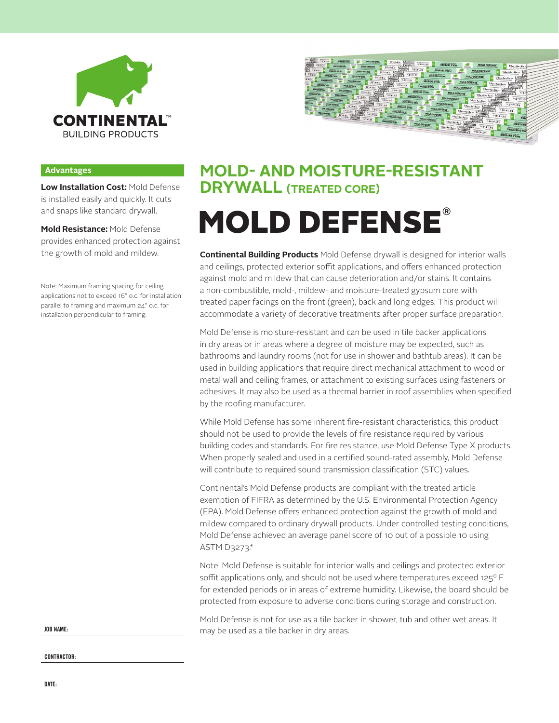



#### **Advantages**

**Low Installation Cost:** Mold Defense is installed easily and quickly. It cuts and snaps like standard drywall.

**Mold Resistance:** Mold Defense provides enhanced protection against the growth of mold and mildew.

Note: Maximum framing spacing for ceiling applications not to exceed 16" o.c. for installation parallel to framing and maximum 24" o.c. for installation perpendicular to framing.

### **MOLD- AND MOISTURE-RESISTANT DRYWALL (TREATED CORE)**

## **®** MOLD DEFENSE

**Continental Building Products** Mold Defense drywall is designed for interior walls and ceilings, protected exterior soffit applications, and offers enhanced protection against mold and mildew that can cause deterioration and/or stains. It contains a non-combustible, mold-, mildew- and moisture-treated gypsum core with treated paper facings on the front (green), back and long edges. This product will accommodate a variety of decorative treatments after proper surface preparation.

Mold Defense is moisture-resistant and can be used in tile backer applications in dry areas or in areas where a degree of moisture may be expected, such as bathrooms and laundry rooms (not for use in shower and bathtub areas). It can be used in building applications that require direct mechanical attachment to wood or metal wall and ceiling frames, or attachment to existing surfaces using fasteners or adhesives. It may also be used as a thermal barrier in roof assemblies when specified by the roofing manufacturer.

While Mold Defense has some inherent fire-resistant characteristics, this product should not be used to provide the levels of fire resistance required by various building codes and standards. For fire resistance, use Mold Defense Type X products. When properly sealed and used in a certified sound-rated assembly, Mold Defense will contribute to required sound transmission classification (STC) values.

Continental's Mold Defense products are compliant with the treated article exemption of FIFRA as determined by the U.S. Environmental Protection Agency (EPA). Mold Defense offers enhanced protection against the growth of mold and mildew compared to ordinary drywall products. Under controlled testing conditions, Mold Defense achieved an average panel score of 10 out of a possible 10 using ASTM D3273.\*

Note: Mold Defense is suitable for interior walls and ceilings and protected exterior soffit applications only, and should not be used where temperatures exceed 125° F for extended periods or in areas of extreme humidity. Likewise, the board should be protected from exposure to adverse conditions during storage and construction.

Mold Defense is not for use as a tile backer in shower, tub and other wet areas. It may be used as a tile backer in dry areas.

**JOB NAME:**

**CONTRACTOR:**